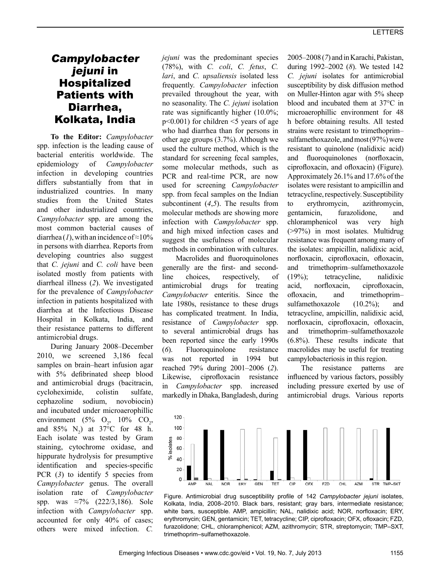# Campylobacter jejuni in Hospitalized Patients with Diarrhea, Kolkata, India

**To the Editor:** *Campylobacter* spp. infection is the leading cause of bacterial enteritis worldwide. The epidemiology of *Campylobacter* infection in developing countries differs substantially from that in industrialized countries. In many studies from the United States and other industrialized countries, *Campylobacter* spp. are among the most common bacterial causes of diarrhea (1), with an incidence of  $\approx 10\%$ in persons with diarrhea. Reports from developing countries also suggest that *C. jejuni* and *C. coli* have been isolated mostly from patients with diarrheal illness (*2*). We investigated for the prevalence of *Campylobacter* infection in patients hospitalized with diarrhea at the Infectious Disease Hospital in Kolkata, India, and their resistance patterns to different antimicrobial drugs.

During January 2008–December 2010, we screened 3,186 fecal samples on brain–heart infusion agar with 5% defibrinated sheep blood and antimicrobial drugs (bacitracin, cycloheximide, colistin sulfate, cephazoline sodium, novobiocin) and incubated under microaerophillic environment (5%  $O_2$ , 10%  $CO_2$ , and  $85\%$  N<sub>2</sub>) at  $37^{\circ}$ C for 48 h. Each isolate was tested by Gram staining, cytochrome oxidase, and hippurate hydrolysis for presumptive identification and species-specific PCR (3) to identify 5 species from *Campylobacter* genus. The overall isolation rate of *Campylobacter* spp. was ≈7% (222/3,186). Sole infection with *Campylobacter* spp. accounted for only 40% of cases; others were mixed infection. *C.* 

*jejuni* was the predominant species (78%), with *C. coli*, *C. fetus*, *C. lari*, and *C. upsaliensis* isolated less frequently. *Campylobacter* infection prevailed throughout the year, with no seasonality. The *C. jejuni* isolation rate was significantly higher (10.0%;  $p<0.001$ ) for children  $\leq$  years of age who had diarrhea than for persons in other age groups (3.7%). Although we used the culture method, which is the standard for screening fecal samples, some molecular methods, such as PCR and real-time PCR, are now used for screening *Campylobacter* spp. from fecal samples on the Indian subcontinent (*4*,*5*). The results from molecular methods are showing more infection with *Campylobacter* spp. and high mixed infection cases and suggest the usefulness of molecular methods in combination with cultures.

Macrolides and fluoroquinolones generally are the first- and secondline choices, respectively, of antimicrobial drugs for treating *Campylobacter* enteritis. Since the late 1980s, resistance to these drugs has complicated treatment. In India, resistance of *Campylobacter* spp. to several antimicrobial drugs has been reported since the early 1990s (*6*). Fluoroquinolone resistance was not reported in 1994 but reached 79% during 2001–2006 (*2*). Likewise, ciprofloxacin resistance in *Campylobacter* spp. increased markedly in Dhaka, Bangladesh, during

2005–2008 (*7*) and in Karachi, Pakistan, during 1992–2002 (*8*). We tested 142 *C. jejuni* isolates for antimicrobial susceptibility by disk diffusion method on Muller-Hinton agar with 5% sheep blood and incubated them at 37°C in microaerophillic environment for 48 h before obtaining results. All tested strains were resistant to trimethoprim– sulfamethoxazole, and most (97%) were resistant to quinolone (nalidixic acid) and fluoroquinolones (norfloxacin, ciprofloxacin, and ofloxacin) (Figure). Approximately 26.1% and 17.6% of the isolates were resistant to ampicillin and tetracycline, respectively. Susceptibility to erythromycin, azithromycin, gentamicin, furazolidone, and chloramphenicol was very high (>97%) in most isolates. Multidrug resistance was frequent among many of the isolates: ampicillin, nalidixic acid, norfloxacin, ciprofloxacin, ofloxacin, and trimethoprim–sulfamethoxazole (19%); tetracycline, nalidixic acid, norfloxacin, ciprofloxacin, ofloxacin, and trimethoprim– sulfamethoxazole  $(10.2\%)$ ; and tetracycline, ampicillin, nalidixic acid, norfloxacin, ciprofloxacin, ofloxacin, and trimethoprim–sulfamethoxazole (6.8%). These results indicate that macrolides may be useful for treating campylobacteriosis in this region.

The resistance patterns are influenced by various factors, possibly including pressure exerted by use of antimicrobial drugs. Various reports



Figure. Antimicrobial drug susceptibility profile of 142 *Campylobacter jejuni* isolates, Kolkata, India, 2008–2010. Black bars, resistant; gray bars, intermediate resistance; white bars, susceptible. AMP, ampicillin; NAL, nalidixic acid; NOR, norfloxacin; ERY, erythromycin; GEN, gentamicin; TET, tetracycline; CIP, ciprofloxacin; OFX, ofloxacin; FZD, furazolidone; CHL, chloramphenicol; AZM, azithromycin; STR, streptomycin; TMP–SXT, trimethoprim–sulfamethoxazole.